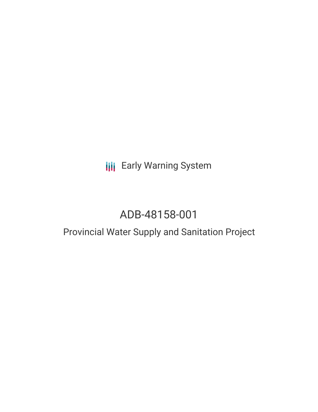# **III** Early Warning System

# ADB-48158-001

# Provincial Water Supply and Sanitation Project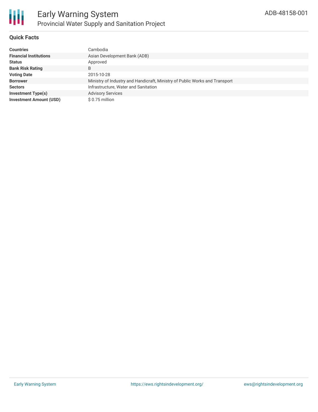

### **Quick Facts**

| <b>Countries</b>               | Cambodia                                                                    |
|--------------------------------|-----------------------------------------------------------------------------|
| <b>Financial Institutions</b>  | Asian Development Bank (ADB)                                                |
| <b>Status</b>                  | Approved                                                                    |
| <b>Bank Risk Rating</b>        | B                                                                           |
| <b>Voting Date</b>             | 2015-10-28                                                                  |
| <b>Borrower</b>                | Ministry of Industry and Handicraft, Ministry of Public Works and Transport |
| <b>Sectors</b>                 | Infrastructure, Water and Sanitation                                        |
| <b>Investment Type(s)</b>      | <b>Advisory Services</b>                                                    |
| <b>Investment Amount (USD)</b> | $$0.75$ million                                                             |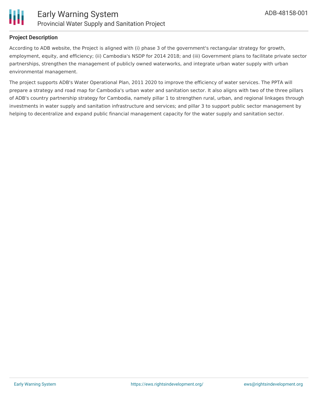

#### **Project Description**

According to ADB website, the Project is aligned with (i) phase 3 of the government's rectangular strategy for growth, employment, equity, and efficiency; (ii) Cambodia's NSDP for 2014 2018; and (iii) Government plans to facilitate private sector partnerships, strengthen the management of publicly owned waterworks, and integrate urban water supply with urban environmental management.

The project supports ADB's Water Operational Plan, 2011 2020 to improve the efficiency of water services. The PPTA will prepare a strategy and road map for Cambodia's urban water and sanitation sector. It also aligns with two of the three pillars of ADB's country partnership strategy for Cambodia, namely pillar 1 to strengthen rural, urban, and regional linkages through investments in water supply and sanitation infrastructure and services; and pillar 3 to support public sector management by helping to decentralize and expand public financial management capacity for the water supply and sanitation sector.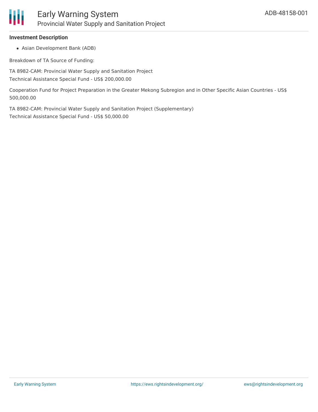

#### **Investment Description**

Asian Development Bank (ADB)

Breakdown of TA Source of Funding:

TA 8982-CAM: Provincial Water Supply and Sanitation Project Technical Assistance Special Fund - US\$ 200,000.00

Cooperation Fund for Project Preparation in the Greater Mekong Subregion and in Other Specific Asian Countries - US\$ 500,000.00

TA 8982-CAM: Provincial Water Supply and Sanitation Project (Supplementary) Technical Assistance Special Fund - US\$ 50,000.00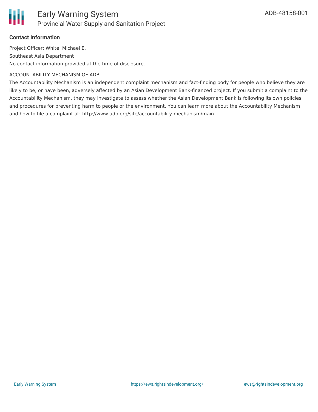

### **Contact Information**

Project Officer: White, Michael E. Southeast Asia Department No contact information provided at the time of disclosure.

#### ACCOUNTABILITY MECHANISM OF ADB

The Accountability Mechanism is an independent complaint mechanism and fact-finding body for people who believe they are likely to be, or have been, adversely affected by an Asian Development Bank-financed project. If you submit a complaint to the Accountability Mechanism, they may investigate to assess whether the Asian Development Bank is following its own policies and procedures for preventing harm to people or the environment. You can learn more about the Accountability Mechanism and how to file a complaint at: http://www.adb.org/site/accountability-mechanism/main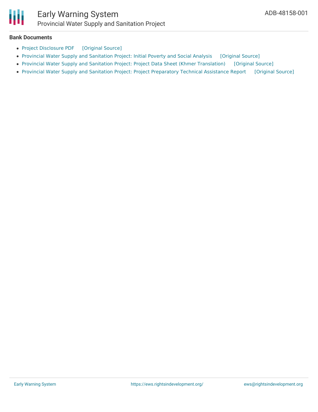

## Early Warning System Provincial Water Supply and Sanitation Project

#### **Bank Documents**

- Project [Disclosure](https://ewsdata.rightsindevelopment.org/files/documents/01/ADB-48158-001.pdf) PDF [\[Original](https://www.adb.org/printpdf/projects/48158-001/main) Source]
- Provincial Water Supply and [Sanitation](https://ewsdata.rightsindevelopment.org/files/documents/01/ADB-48158-001_mwPImMl.pdf) Project: Initial Poverty and Social Analysis [\[Original](https://www.adb.org/projects/documents/cam-provincial-water-supply-and-sanitation-project-ipsa) Source]
- Provincial Water Supply and Sanitation Project: Project Data Sheet (Khmer [Translation\)](https://ewsdata.rightsindevelopment.org/files/documents/01/ADB-48158-001_55kF3sq.pdf) [\[Original](https://www.adb.org/km/projects/documents/48158-001-project-data-sheet) Source]
- Provincial Water Supply and Sanitation Project: Project [Preparatory](https://ewsdata.rightsindevelopment.org/files/documents/01/ADB-48158-001_ZoQgTrO.pdf) Technical Assistance Report [\[Original](https://www.adb.org/projects/documents/cam-provincial-water-supply-and-sanitation-project-pptar) Source]